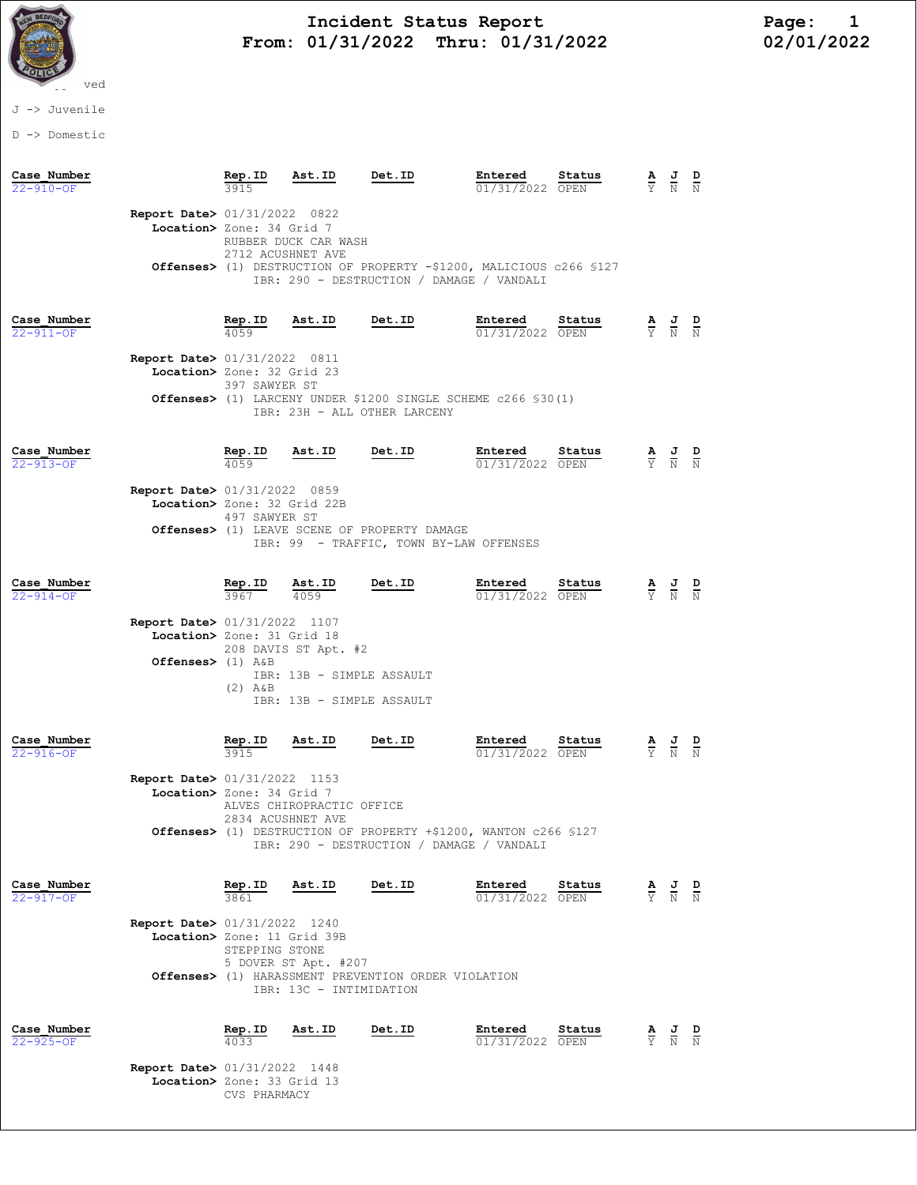

# Incident Status Report<br>01/31/2022 Thru: 01/31/2022 12/01/2022 From: 01/31/2022 Thru: 01/31/2022

### J -> Juvenile

D -> Domestic

| Case Number<br>$22 - 910 - OF$ |                                                                                             | Rep.ID                | Ast.ID                                                                         | Det.ID                                                                                                           | Entered<br>01/31/2022 OPEN | Status | $\frac{\mathbf{A}}{\mathbf{Y}}$ | $\frac{J}{N}$                                                                                   | $\frac{D}{N}$ |
|--------------------------------|---------------------------------------------------------------------------------------------|-----------------------|--------------------------------------------------------------------------------|------------------------------------------------------------------------------------------------------------------|----------------------------|--------|---------------------------------|-------------------------------------------------------------------------------------------------|---------------|
|                                | <b>Report Date&gt; 01/31/2022 0822</b><br>Location> Zone: 34 Grid 7                         | 2712 ACUSHNET AVE     | RUBBER DUCK CAR WASH                                                           | Offenses> (1) DESTRUCTION OF PROPERTY -\$1200, MALICIOUS c266 \$127<br>IBR: 290 - DESTRUCTION / DAMAGE / VANDALI |                            |        |                                 |                                                                                                 |               |
| Case Number<br>$22 - 911 - OF$ |                                                                                             | Rep.ID<br>4059        | Ast.ID                                                                         | Det.ID                                                                                                           | Entered<br>01/31/2022 OPEN | Status |                                 | $\frac{\mathbf{A}}{\mathbf{Y}}$ $\frac{\mathbf{J}}{\mathbf{N}}$                                 | $\frac{D}{N}$ |
|                                | <b>Report Date&gt;</b> 01/31/2022 0811<br>Location> Zone: 32 Grid 23                        | 397 SAWYER ST         |                                                                                | <b>Offenses&gt;</b> (1) LARCENY UNDER \$1200 SINGLE SCHEME $c266$ \$30(1)<br>IBR: 23H - ALL OTHER LARCENY        |                            |        |                                 |                                                                                                 |               |
| Case Number<br>22-913-OF       |                                                                                             | <u>Rep.ID</u><br>4059 | Ast.ID                                                                         | Det.ID                                                                                                           | Entered<br>01/31/2022 OPEN | Status |                                 | $\frac{\mathbf{A}}{\mathbf{Y}}$ $\frac{\mathbf{J}}{\mathbf{N}}$ $\frac{\mathbf{D}}{\mathbf{N}}$ |               |
|                                | <b>Report Date&gt;</b> 01/31/2022 0859<br>Location> Zone: 32 Grid 22B                       | 497 SAWYER ST         |                                                                                |                                                                                                                  |                            |        |                                 |                                                                                                 |               |
|                                |                                                                                             |                       |                                                                                | Offenses> (1) LEAVE SCENE OF PROPERTY DAMAGE<br>IBR: 99 - TRAFFIC, TOWN BY-LAW OFFENSES                          |                            |        |                                 |                                                                                                 |               |
| Case Number<br>$22 - 914 - OF$ |                                                                                             | <u>Rep.ID</u><br>3967 | <u>Ast.ID</u><br>4059                                                          | Det.ID                                                                                                           | Entered<br>01/31/2022 OPEN | Status |                                 | $\frac{\mathbf{A}}{\mathbf{Y}}$ $\frac{\mathbf{J}}{\mathbf{N}}$                                 | $\frac{D}{N}$ |
|                                | <b>Report Date&gt;</b> 01/31/2022 1107<br>Location> Zone: 31 Grid 18<br>Offenses> $(1)$ A&B | $(2)$ $A\&B$          | 208 DAVIS ST Apt. #2<br>IBR: 13B - SIMPLE ASSAULT<br>IBR: 13B - SIMPLE ASSAULT |                                                                                                                  |                            |        |                                 |                                                                                                 |               |
| Case Number<br>$22 - 916 - OF$ |                                                                                             | Rep.ID<br>3915        | Ast.ID                                                                         | Det.ID                                                                                                           | Entered<br>01/31/2022 OPEN | Status | $\frac{\mathbf{A}}{\mathrm{Y}}$ | $\frac{J}{N}$                                                                                   |               |
|                                | <b>Report Date&gt;</b> 01/31/2022 1153<br>Location> Zone: 34 Grid 7                         | 2834 ACUSHNET AVE     | ALVES CHIROPRACTIC OFFICE                                                      |                                                                                                                  |                            |        |                                 |                                                                                                 |               |
|                                |                                                                                             |                       |                                                                                | Offenses> (1) DESTRUCTION OF PROPERTY +\$1200, WANTON c266 \$127<br>IBR: 290 - DESTRUCTION / DAMAGE / VANDALI    |                            |        |                                 |                                                                                                 |               |
| Case Number<br>22-917-OF       |                                                                                             | Rep.ID                | Ast.ID                                                                         | Det.ID                                                                                                           | Entered<br>01/31/2022 OPEN | Status | $rac{\mathbf{A}}{\mathbf{Y}}$   | $\frac{J}{N}$                                                                                   | $\frac{D}{N}$ |
|                                | <b>Report Date&gt; 01/31/2022 1240</b><br>Location> Zone: 11 Grid 39B                       | STEPPING STONE        | 5 DOVER ST Apt. #207<br>IBR: 13C - INTIMIDATION                                | Offenses> (1) HARASSMENT PREVENTION ORDER VIOLATION                                                              |                            |        |                                 |                                                                                                 |               |
| Case Number<br>$22 - 925 - OF$ |                                                                                             | Rep.ID<br>4033        | Ast.ID                                                                         | Det.ID                                                                                                           | Entered<br>01/31/2022 OPEN | Status | $\frac{\mathbf{A}}{\mathbf{Y}}$ | $\frac{J}{N}$                                                                                   | $\frac{D}{N}$ |
|                                | <b>Report Date&gt; 01/31/2022 1448</b><br>Location> Zone: 33 Grid 13                        | CVS PHARMACY          |                                                                                |                                                                                                                  |                            |        |                                 |                                                                                                 |               |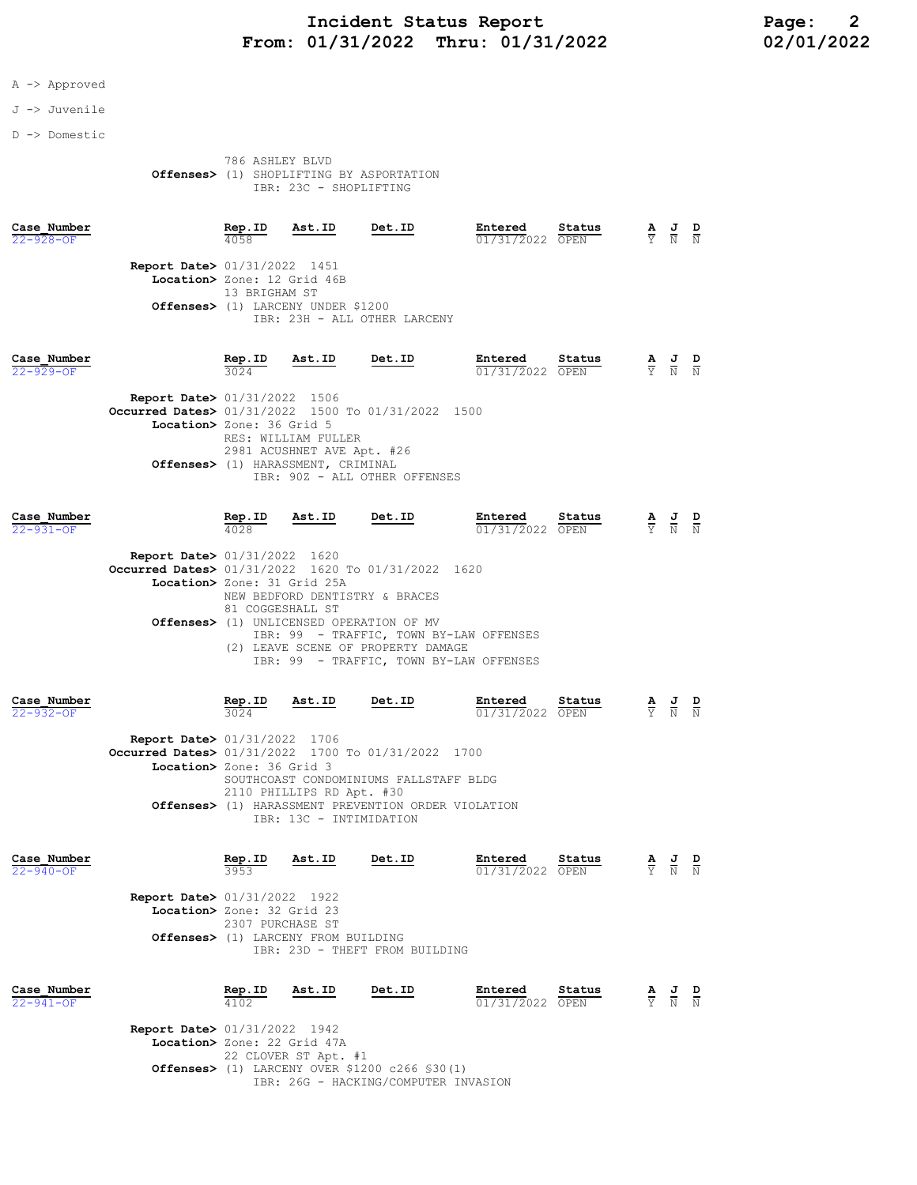## Incident Status Report<br>01/31/2022 Thru: 01/31/2022 12/01/2022 02/01/2022 From:  $01/31/2022$  Thru:  $01/31/2022$

#### A -> Approved

#### J -> Juvenile

D -> Domestic

#### 786 ASHLEY BLVD Offenses> (1) SHOPLIFTING BY ASPORTATION IBR: 23C - SHOPLIFTING

| Case Number<br>$22 - 928 - OF$ |                                                                                                                                                              | Rep.ID<br>4058                                                                     | Ast.ID | Det.ID | Entered<br>01/31/2022 OPEN | Status |  | $\frac{\mathbf{A}}{\mathbf{Y}}$ $\frac{\mathbf{J}}{\mathbf{N}}$ $\frac{\mathbf{D}}{\mathbf{N}}$ |  |  |
|--------------------------------|--------------------------------------------------------------------------------------------------------------------------------------------------------------|------------------------------------------------------------------------------------|--------|--------|----------------------------|--------|--|-------------------------------------------------------------------------------------------------|--|--|
|                                | <b>Report Date&gt; 01/31/2022 1451</b><br>Location> Zone: 12 Grid 46B<br>13 BRIGHAM ST<br>Offenses> (1) LARCENY UNDER \$1200<br>IBR: 23H - ALL OTHER LARCENY |                                                                                    |        |        |                            |        |  |                                                                                                 |  |  |
| Case Number<br>$22 - 929 - OF$ |                                                                                                                                                              | Rep.ID<br>3024                                                                     | Ast.ID | Det.ID | Entered<br>01/31/2022 OPEN | Status |  | $\frac{\mathbf{A}}{\mathbf{Y}}$ $\frac{\mathbf{J}}{\mathbf{N}}$ $\frac{\mathbf{D}}{\mathbf{N}}$ |  |  |
|                                | Report Date> 01/31/2022 1506<br>Occurred Dates> 01/31/2022 1500 To 01/31/2022 1500<br>Location> Zone: 36 Grid 5<br>Offenses> (1) HARASSMENT, CRIMINAL        | RES: WILLIAM FULLER<br>2981 ACUSHNET AVE Apt. #26<br>IBR: 90Z - ALL OTHER OFFENSES |        |        |                            |        |  |                                                                                                 |  |  |

| Case Number<br>$22 - 931 - OF$ |                                                                                                                             | Rep.ID<br>4028                                                                                                                                                          | Ast.ID | Det.ID                         | Entered<br>01/31/2022 OPEN | Status          | Y. | $\mathbf{A}$ J<br>N                                                                             | $\overline{D}$<br>N |  |
|--------------------------------|-----------------------------------------------------------------------------------------------------------------------------|-------------------------------------------------------------------------------------------------------------------------------------------------------------------------|--------|--------------------------------|----------------------------|-----------------|----|-------------------------------------------------------------------------------------------------|---------------------|--|
|                                | <b>Report Date&gt; 01/31/2022</b> 1620<br>Occurred Dates> 01/31/2022 1620 To 01/31/2022 1620<br>Location> Zone: 31 Grid 25A | 81 COGGESHALL ST                                                                                                                                                        |        | NEW BEDFORD DENTISTRY & BRACES |                            |                 |    |                                                                                                 |                     |  |
|                                |                                                                                                                             | Offenses> (1) UNLICENSED OPERATION OF MV<br>IBR: 99 - TRAFFIC, TOWN BY-LAW OFFENSES<br>LEAVE SCENE OF PROPERTY DAMAGE<br>(2)<br>IBR: 99 - TRAFFIC, TOWN BY-LAW OFFENSES |        |                                |                            |                 |    |                                                                                                 |                     |  |
| Case Number<br>$22 - 932 - OF$ |                                                                                                                             | Rep.ID<br>3024                                                                                                                                                          | Ast.ID | Det.ID                         | Entered<br>01/31/2022      | Status<br>OPEN. |    | $\frac{\mathbf{A}}{\mathbf{Y}}$ $\frac{\mathbf{J}}{\mathbf{N}}$ $\frac{\mathbf{D}}{\mathbf{N}}$ |                     |  |
|                                | <b>Report Date&gt; 01/31/2022 1706</b>                                                                                      |                                                                                                                                                                         |        |                                |                            |                 |    |                                                                                                 |                     |  |

**Occurred Dates>** 01/31/2022 1700 To 01/31/2022 1700 Location> Zone: 36 Grid 3 SOUTHCOAST CONDOMINIUMS FALLSTAFF BLDG 2110 PHILLIPS RD Apt. #30 Offenses> (1) HARASSMENT PREVENTION ORDER VIOLATION IBR: 13C - INTIMIDATION

| Case Number<br>$22 - 940 - 0F$ |                                                                      | Rep.ID<br>3953   | Ast.ID                              | Det.ID                         | Entered<br>01/31/2022 OPEN | Status | Δ<br>Y              | 프<br>N              | D<br>N |
|--------------------------------|----------------------------------------------------------------------|------------------|-------------------------------------|--------------------------------|----------------------------|--------|---------------------|---------------------|--------|
|                                | <b>Report Date&gt; 01/31/2022 1922</b><br>Location> Zone: 32 Grid 23 | 2307 PURCHASE ST | Offenses> (1) LARCENY FROM BUILDING | IBR: 23D - THEFT FROM BUILDING |                            |        |                     |                     |        |
| Case Number<br>$22 - 941 - OF$ |                                                                      | Rep.ID<br>4102   | Ast.ID                              | Det.ID                         | Entered<br>01/31/2022 OPEN | Status | $\overline{a}$<br>Y | $\overline{a}$<br>N | D<br>N |

 Report Date> 01/31/2022 1942 Location> Zone: 22 Grid 47A 22 CLOVER ST Apt. #1 Offenses> (1) LARCENY OVER \$1200 c266 §30(1) IBR: 26G - HACKING/COMPUTER INVASION